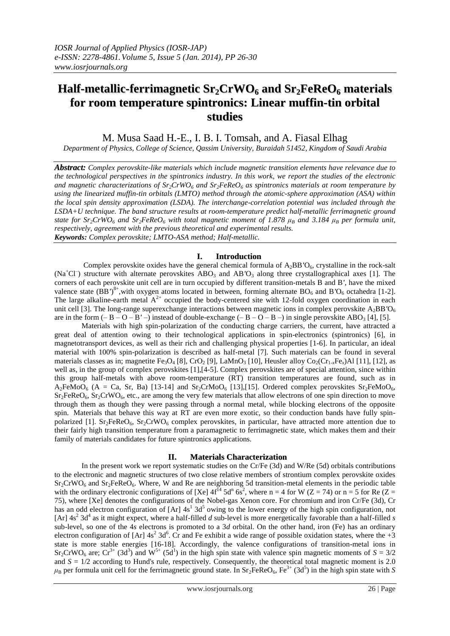# **Half-metallic-ferrimagnetic Sr2CrWO<sup>6</sup> and Sr2FeReO<sup>6</sup> materials for room temperature spintronics: Linear muffin-tin orbital studies**

M. Musa Saad H.-E., I. B. I. Tomsah, and A. Fiasal Elhag

*Department of Physics, College of Science, Qassim University, Buraidah 51452, Kingdom of Saudi Arabia*

*Abstract: Complex perovskite-like materials which include magnetic transition elements have relevance due to the technological perspectives in the spintronics industry. In this work, we report the studies of the electronic and magnetic characterizations of Sr2CrWO<sup>6</sup> and Sr2FeReO<sup>6</sup> as spintronics materials at room temperature by using the linearized muffin-tin orbitals (LMTO) method through the atomic-sphere approximation (ASA) within the local spin density approximation (LSDA). The interchange-correlation potential was included through the LSDA+U technique. The band structure results at room-temperature predict half-metallic ferrimagnetic ground state for*  $Sr_2Cr\overline{W}O_6$  *and*  $Sr_2FeReO_6$  *with total magnetic moment of* 1.878  $\mu_B$  *and* 3.184  $\mu_B$  *per formula unit, respectively, agreement with the previous theoretical and experimental results. Keywords: Complex perovskite; LMTO-ASA method; Half-metallic.*

# **I. Introduction**

Complex perovskite oxides have the general chemical formula of  $A_2BB'O_6$ , crystalline in the rock-salt (Na<sup>+</sup>Cl<sup>-</sup>) structure with alternate perovskites ABO<sub>3</sub> and AB<sup>'</sup>O<sub>3</sub> along three crystallographical axes [1]. The corners of each perovskite unit cell are in turn occupied by different transition-metals B and B*'*, have the mixed valence state (BB')<sup>8+</sup>, with oxygen atoms located in between, forming alternate BO<sub>6</sub> and B'O<sub>6</sub> octahedra [1-2]. The large alkaline-earth metal  $A^{2+}$  occupied the body-centered site with 12-fold oxygen coordination in each unit cell [3]. The long-range superexchange interactions between magnetic ions in complex perovskite  $A_2BB'O_6$ are in the form  $(-B - 0 - B' -)$  instead of double-exchange  $(-B - 0 - B -)$  in single perovskite ABO<sub>3</sub> [4], [5].

Materials with high spin-polarization of the conducting charge carriers, the current, have attracted a great deal of attention owing to their technological applications in spin-electronics (spintronics) [6], in magnetotransport devices, as well as their rich and challenging physical properties [1-6]. In particular, an ideal material with 100% spin-polarization is described as half-metal [7]. Such materials can be found in several materials classes as in; magnetite Fe<sub>3</sub>O<sub>4</sub> [8], CrO<sub>2</sub> [9], LaMnO<sub>3</sub> [10], Heusler alloy Co<sub>2</sub>(Cr<sub>1-x</sub>Fe<sub>x</sub>)Al [11], [12], as well as, in the group of complex perovskites [1],[4-5]. Complex perovskites are of special attention, since within this group half-metals with above room-temperature (RT) transition temperatures are found, such as in  $A_2$ FeMoO<sub>6</sub> (A = Ca, Sr, Ba) [13-14] and Sr<sub>2</sub>CrMoO<sub>6</sub> [13],[15]. Ordered complex perovskites Sr<sub>2</sub>FeMoO<sub>6</sub>,  $Sr<sub>2</sub>FeReO<sub>6</sub>$ ,  $Sr<sub>2</sub>CrWO<sub>6</sub>$ , etc., are among the very few materials that allow electrons of one spin direction to move through them as though they were passing through a normal metal, while blocking electrons of the opposite spin. Materials that behave this way at RT are even more exotic, so their conduction bands have fully spinpolarized [1].  $Sr_2FeReO_6$ ,  $Sr_2CrWO_6$  complex perovskites, in particular, have attracted more attention due to their fairly high transition temperature from a paramagnetic to ferrimagnetic state, which makes them and their family of materials candidates for future spintronics applications.

## **II. Materials Characterization**

In the present work we report systematic studies on the Cr/Fe (3d) and W/Re (5d) orbitals contributions to the electronic and magnetic structures of two close relative members of strontium complex perovskite oxides  $Sr_2CrWO_6$  and  $Sr_2FeReO_6$ . Where, W and Re are neighboring 5d transition-metal elements in the periodic table with the ordinary electronic configurations of [Xe]  $4f^{14}$  5d<sup>n</sup> 6s<sup>2</sup>, where n = 4 for W (Z = 74) or n = 5 for Re (Z = 75), where [Xe] denotes the configurations of the Nobel-gas Xenon core. For chromium and iron Cr/Fe (3d), Cr has an odd electron configuration of  $[Ar]$  4s<sup>1</sup> 3d<sup>5</sup> owing to the lower energy of the high spin configuration, not [Ar]  $4s<sup>2</sup> 3d<sup>4</sup>$  as it might expect, where a half-filled  $d$  sub-level is more energetically favorable than a half-filled  $s$ sub-level, so one of the 4*s* electrons is promoted to a 3*d* orbital. On the other hand, iron (Fe) has an ordinary electron configuration of [Ar]  $4s^2$  3d<sup>6</sup>. Cr and Fe exhibit a wide range of possible oxidation states, where the +3 state is more stable energies [16-18]. Accordingly, the valence configurations of transition-metal ions in  $Sr_2CrWO_6$  are;  $Cr^{3+}$  (3d<sup>3</sup>) and  $W^{5+}$  (5d<sup>1</sup>) in the high spin state with valence spin magnetic moments of  $S = 3/2$ and  $S = 1/2$  according to Hund's rule, respectively. Consequently, the theoretical total magnetic moment is 2.0  $\mu_B$  per formula unit cell for the ferrimagnetic ground state. In Sr<sub>2</sub>FeReO<sub>6</sub>, Fe<sup>3+</sup> (3d<sup>5</sup>) in the high spin state with *S*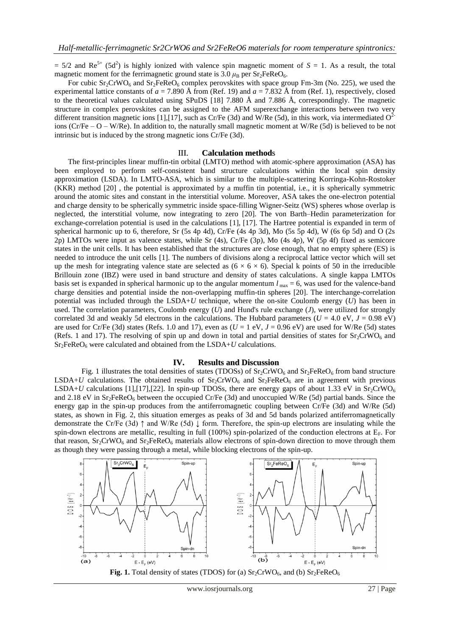$= 5/2$  and Re<sup>5+</sup> (5d<sup>2</sup>) is highly ionized with valence spin magnetic moment of *S* = 1. As a result, the total magnetic moment for the ferrimagnetic ground state is  $3.0 \mu_B$  per Sr<sub>2</sub>FeReO<sub>6</sub>.

For cubic  $Sr_2CrWO_6$  and  $Sr_2FeReO_6$  complex perovskites with space group Fm-3m (No. 225), we used the experimental lattice constants of  $a = 7.890 \text{ Å}$  from (Ref. 19) and  $a = 7.832 \text{ Å}$  from (Ref. 1), respectively, closed to the theoretical values calculated using SPuDS [18] 7.880 Å and 7.886 Å, correspondingly. The magnetic structure in complex perovskites can be assigned to the AFM superexchange interactions between two very different transition magnetic ions [1],[17], such as Cr/Fe (3d) and W/Re (5d), in this work, via intermediated  $O<sup>2</sup>$ ions ( $Cr/Fe - O - W/Re$ ). In addition to, the naturally small magnetic moment at W/Re (5d) is believed to be not intrinsic but is induced by the strong magnetic ions Cr/Fe (3d).

#### III. **Calculation method**s

The first-principles linear muffin-tin orbital (LMTO) method with atomic-sphere approximation (ASA) has been employed to perform self-consistent band structure calculations within the local spin density approximation (LSDA). In LMTO-ASA, which is similar to the multiple-scattering Korringa-Kohn-Rostoker (KKR) method [20] , the potential is approximated by a muffin tin potential, i.e., it is spherically symmetric around the atomic sites and constant in the interstitial volume. Moreover, ASA takes the one-electron potential and charge density to be spherically symmetric inside space-filling Wigner-Seitz (WS) spheres whose overlap is neglected, the interstitial volume, now integrating to zero [20]. The von Barth–Hedin parameterization for exchange-correlation potential is used in the calculations [1], [17]. The Hartree potential is expanded in term of spherical harmonic up to 6, therefore, Sr (5s 4p 4d), Cr/Fe (4s 4p 3d), Mo (5s 5p 4d), W (6s 6p 5d) and O (2s 2p) LMTOs were input as valence states, while Sr (4s), Cr/Fe (3p), Mo (4s 4p), W (5p 4f) fixed as semicore states in the unit cells. It has been established that the structures are close enough, that no empty sphere (ES) is needed to introduce the unit cells [1]. The numbers of divisions along a reciprocal lattice vector which will set up the mesh for integrating valence state are selected as  $(6 \times 6 \times 6)$ . Special k points of 50 in the irreducible Brillouin zone (IBZ) were used in band structure and density of states calculations. A single kappa LMTOs basis set is expanded in spherical harmonic up to the angular momentum  $l_{\text{max}} = 6$ , was used for the valence-band charge densities and potential inside the non-overlapping muffin-tin spheres [20]. The interchange-correlation potential was included through the LSDA+*U* technique, where the on-site Coulomb energy (*U*) has been in used. The correlation parameters, Coulomb energy (*U*) and Hund's rule exchange (*J*), were utilized for strongly correlated 3d and weakly 5d electrons in the calculations. The Hubbard parameters ( $U = 4.0$  eV,  $J = 0.98$  eV) are used for Cr/Fe (3d) states (Refs. 1.0 and 17), even as  $(U = 1 \text{ eV}, J = 0.96 \text{ eV})$  are used for W/Re (5d) states (Refs. 1 and 17). The resolving of spin up and down in total and partial densities of states for  $Sr_2CrWO_6$  and  $Sr<sub>2</sub>FeReO<sub>6</sub>$  were calculated and obtained from the LSDA+*U* calculations.

#### **IV. Results and Discussion**

Fig. 1 illustrates the total densities of states (TDOSs) of  $Sr_2CrWO_6$  and  $Sr_2FeReO_6$  from band structure LSDA+*U* calculations. The obtained results of  $Sr_2$ CrWO<sub>6</sub> and  $Sr_2$ FeReO<sub>6</sub> are in agreement with previous LSDA+*U* calculations [1],[17],[22]. In spin-up TDOSs, there are energy gaps of about 1.33 eV in Sr<sub>2</sub>CrWO<sub>6</sub> and 2.18 eV in  $Sr_2FeReO<sub>6</sub>$  between the occupied Cr/Fe (3d) and unoccupied W/Re (5d) partial bands. Since the energy gap in the spin-up produces from the antiferromagnetic coupling between Cr/Fe (3d) and W/Re (5d) states, as shown in Fig. 2, this situation emerges as peaks of 3d and 5d bands polarized antiferromagnetically demonstrate the Cr/Fe (3d) ↑ and W/Re (5d) ↓ form. Therefore, the spin-up electrons are insulating while the spin-down electrons are metallic, resulting in full (100%) spin-polarized of the conduction electrons at  $E_F$ . For that reason,  $Sr_2CrWO_6$  and  $Sr_2FeReO_6$  materials allow electrons of spin-down direction to move through them as though they were passing through a metal, while blocking electrons of the spin-up.



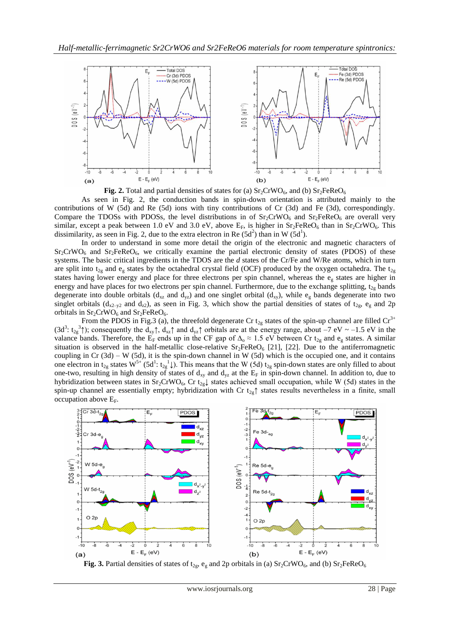



As seen in Fig. 2, the conduction bands in spin-down orientation is attributed mainly to the contributions of W (5d) and Re (5d) ions with tiny contributions of Cr (3d) and Fe (3d), correspondingly. Compare the TDOSs with PDOSs, the level distributions in of  $Sr_2CrWO_6$  and  $Sr_2FeReO_6$  are overall very similar, except a peak between 1.0 eV and 3.0 eV, above  $E_F$ , is higher in  $Sr_2FeReO_6$  than in  $Sr_2CrWO_6$ . This dissimilarity, as seen in Fig. 2, due to the extra electron in Re  $(5d^2)$  than in W  $(5d^1)$ .

In order to understand in some more detail the origin of the electronic and magnetic characters of  $Sr<sub>2</sub>CrWO<sub>6</sub>$  and  $Sr<sub>2</sub>FeReO<sub>6</sub>$ , we critically examine the partial electronic density of states (PDOS) of these systems. The basic critical ingredients in the TDOS are the *d* states of the Cr/Fe and W/Re atoms, which in turn are split into t<sub>2g</sub> and e<sub>g</sub> states by the octahedral crystal field (OCF) produced by the oxygen octahedra. The t<sub>2g</sub> states having lower energy and place for three electrons per spin channel, whereas the  $e_g$  states are higher in energy and have places for two electrons per spin channel. Furthermore, due to the exchange splitting,  $t_{2g}$  bands degenerate into double orbitals ( $d_{xz}$  and  $d_{yz}$ ) and one singlet orbital ( $d_{xy}$ ), while  $e_g$  bands degenerate into two singlet orbitals ( $d_{x2-y2}$  and  $d_{z2}$ ), as seen in Fig. 3, which show the partial densities of states of  $t_{2g}$ ,  $e_g$  and 2p orbitals in  $Sr_2CrWO_6$  and  $Sr_2FeReO_6$ .

From the PDOS in Fig.3 (a), the threefold degenerate Cr  $t_{2g}$  states of the spin-up channel are filled  $Cr^{3+}$ (3d<sup>3</sup>: t<sub>2g</sub><sup>3</sup>); consequently the d<sub>xy</sub> $\uparrow$ , d<sub>xz</sub> $\uparrow$  and d<sub>yz</sub> $\uparrow$  orbitals are at the energy range, about –7 eV ~ –1.5 eV in the valance bands. Therefore, the E<sub>F</sub> ends up in the CF gap of  $\Delta_0 \approx 1.5$  eV between Cr t<sub>2g</sub> and e<sub>g</sub> states. A similar situation is observed in the half-metallic close-relative  $Sr_2FeReO<sub>6</sub>$  [21], [22]. Due to the antiferromagnetic coupling in  $Cr(3d) - W(5d)$ , it is the spin-down channel in W (5d) which is the occupied one, and it contains one electron in t<sub>2g</sub> states W<sup>5+</sup> (5d<sup>1</sup>: t<sub>2g</sub><sup>1</sup>). This means that the W (5d) t<sub>2g</sub> spin-down states are only filled to about one-two, resulting in high density of states of  $d_{xy}$  and  $d_{yz}$  at the  $E_F$  in spin-down channel. In addition to, due to hybridization between states in Sr<sub>2</sub>CrWO<sub>6</sub>, Cr t<sub>2g</sub> $\downarrow$  states achieved small occupation, while W (5d) states in the spin-up channel are essentially empty; hybridization with Cr  $t_{2g}$ ↑ states results nevertheless in a finite, small occupation above  $E_F$ .



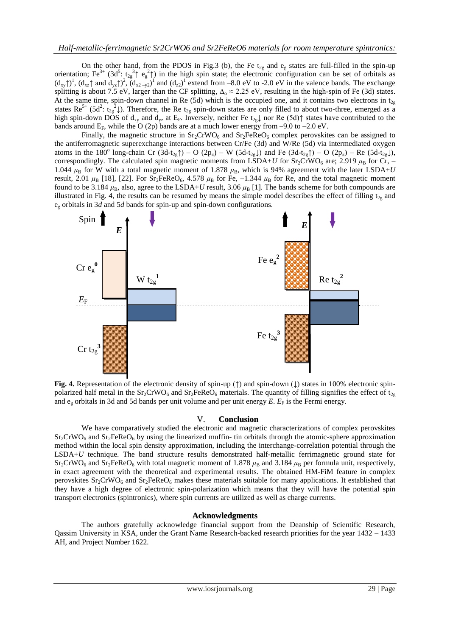On the other hand, from the PDOS in Fig.3 (b), the Fe  $t_{2g}$  and  $e_g$  states are full-filled in the spin-up orientation; Fe<sup>3+</sup> (3d<sup>5</sup>: t<sub>2g</sub><sup>3</sup>) eg<sup>2</sup>) in the high spin state; the electronic configuration can be set of orbitals as  $(d_{xy}\uparrow)^1$ ,  $(d_{xz}\uparrow$  and  $d_{yz}\uparrow)^2$ ,  $(d_{x2-y2})^1$  and  $(d_{z2})^1$  extend from -8.0 eV to -2.0 eV in the valence bands. The exchange splitting is about 7.5 eV, larger than the CF splitting,  $\Delta_0 \approx 2.25$  eV, resulting in the high-spin of Fe (3d) states. At the same time, spin-down channel in Re (5d) which is the occupied one, and it contains two electrons in  $t_{2g}$ states  $\text{Re}^{5+}$  (5d<sup>2</sup>: t<sub>2</sub><sup>2</sup>). Therefore, the Re t<sub>2g</sub> spin-down states are only filled to about two-three, emerged as a high spin-down DOS of  $d_{xy}$  and  $d_{yz}$  at E<sub>F</sub>. Inversely, neither Fe  $t_{2g}$  nor Re (5d) $\uparrow$  states have contributed to the bands around  $E_F$ , while the O (2p) bands are at a much lower energy from –9.0 to –2.0 eV.

Finally, the magnetic structure in  $Sr_2CrWO_6$  and  $Sr_2FeReO_6$  complex perovskites can be assigned to the antiferromagnetic superexchange interactions between Cr/Fe (3d) and W/Re (5d) via intermediated oxygen atoms in the 180<sup>o</sup> long-chain Cr (3d-t<sub>2g</sub>†) – O (2p<sub>π</sub>) – W (5d-t<sub>2g</sub>) and Fe (3d-t<sub>2g</sub>†) – O (2p<sub>π</sub>) – Re (5d-t<sub>2g</sub>)), correspondingly. The calculated spin magnetic moments from LSDA+*U* for Sr<sub>2</sub>CrWO<sub>6</sub> are; 2.919  $\mu_B$  for Cr, – 1.044  $\mu_B$  for W with a total magnetic moment of 1.878  $\mu_B$ , which is 94% agreement with the later LSDA+*U* result, 2.01  $\mu_B$  [18], [22]. For Sr<sub>2</sub>FeReO<sub>6</sub>, 4.578  $\mu_B$  for Fe, -1.344  $\mu_B$  for Re, and the total magnetic moment found to be 3.184  $\mu_B$ , also, agree to the LSDA+*U* result, 3.06  $\mu_B$  [1]. The bands scheme for both compounds are illustrated in Fig. 4, the results can be resumed by means the simple model describes the effect of filling  $t_{2g}$  and e<sup>g</sup> orbitals in 3*d* and 5*d* bands for spin-up and spin-down configurations.



**Fig. 4.** Representation of the electronic density of spin-up (↑) and spin-down (↓) states in 100% electronic spinpolarized half metal in the  $Sr_2CrWO_6$  and  $Sr_2FeReO_6$  materials. The quantity of filling signifies the effect of  $t_{2g}$ and  $e<sub>v</sub>$  orbitals in 3d and 5d bands per unit volume and per unit energy  $E$ .  $E<sub>F</sub>$  is the Fermi energy.

#### V. **Conclusion**

We have comparatively studied the electronic and magnetic characterizations of complex perovskites  $Sr_2CrWO_6$  and  $Sr_2FeReO_6$  by using the linearized muffin- tin orbitals through the atomic-sphere approximation method within the local spin density approximation, including the interchange-correlation potential through the LSDA+*U* technique. The band structure results demonstrated half-metallic ferrimagnetic ground state for Sr<sub>2</sub>CrWO<sub>6</sub> and Sr<sub>2</sub>FeReO<sub>6</sub> with total magnetic moment of 1.878 μ<sub>B</sub> and 3.184 μ<sub>B</sub> per formula unit, respectively, in exact agreement with the theoretical and experimental results. The obtained HM-FiM feature in complex perovskites  $Sr_2CrWO_6$  and  $Sr_2FeReO_6$  makes these materials suitable for many applications. It established that they have a high degree of electronic spin-polarization which means that they will have the potential spin transport electronics (spintronics), where spin currents are utilized as well as charge currents.

## **Acknowledgments**

The authors gratefully acknowledge financial support from the Deanship of Scientific Research, Qassim University in KSA, under the Grant Name Research-backed research priorities for the year 1432 – 1433 AH, and Project Number 1622.